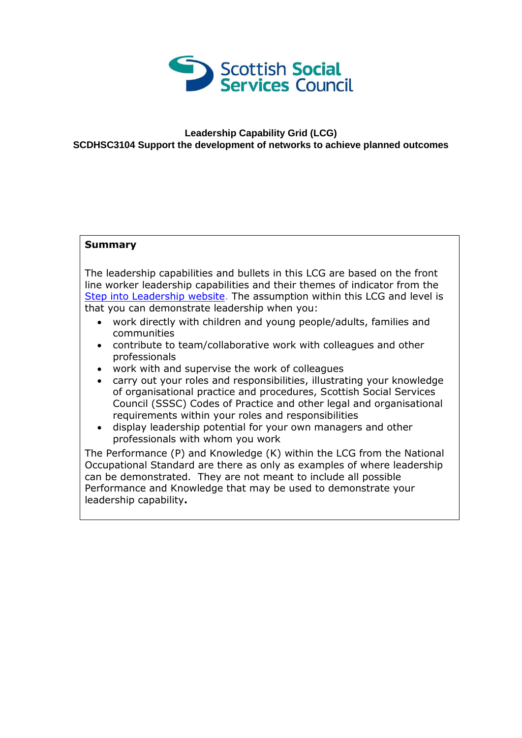

## **Leadership Capability Grid (LCG) SCDHSC3104 Support the development of networks to achieve planned outcomes**

## **Summary**

The leadership capabilities and bullets in this LCG are based on the front line worker leadership capabilities and their themes of indicator from the [Step into Leadership website.](http://www.stepintoleadership.info/) The assumption within this LCG and level is that you can demonstrate leadership when you:

- work directly with children and young people/adults, families and communities
- contribute to team/collaborative work with colleagues and other professionals
- work with and supervise the work of colleagues
- carry out your roles and responsibilities, illustrating your knowledge of organisational practice and procedures, Scottish Social Services Council (SSSC) Codes of Practice and other legal and organisational requirements within your roles and responsibilities
- display leadership potential for your own managers and other professionals with whom you work

The Performance (P) and Knowledge (K) within the LCG from the National Occupational Standard are there as only as examples of where leadership can be demonstrated. They are not meant to include all possible Performance and Knowledge that may be used to demonstrate your leadership capability**.**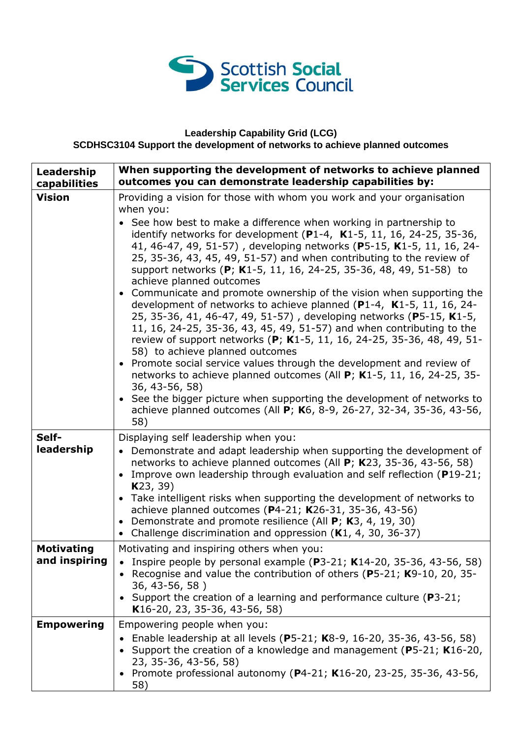

## **Leadership Capability Grid (LCG) SCDHSC3104 Support the development of networks to achieve planned outcomes**

| Leadership<br>capabilities | When supporting the development of networks to achieve planned<br>outcomes you can demonstrate leadership capabilities by:                                                                                                                                                                                                                                                                                                                                                                                                                                                                                                                                                                                                                                                                                                                                                                                                                                                                                                                                                                                                                |
|----------------------------|-------------------------------------------------------------------------------------------------------------------------------------------------------------------------------------------------------------------------------------------------------------------------------------------------------------------------------------------------------------------------------------------------------------------------------------------------------------------------------------------------------------------------------------------------------------------------------------------------------------------------------------------------------------------------------------------------------------------------------------------------------------------------------------------------------------------------------------------------------------------------------------------------------------------------------------------------------------------------------------------------------------------------------------------------------------------------------------------------------------------------------------------|
| <b>Vision</b>              | Providing a vision for those with whom you work and your organisation<br>when you:                                                                                                                                                                                                                                                                                                                                                                                                                                                                                                                                                                                                                                                                                                                                                                                                                                                                                                                                                                                                                                                        |
|                            | • See how best to make a difference when working in partnership to<br>identify networks for development (P1-4, $K1-5$ , 11, 16, 24-25, 35-36,<br>41, 46-47, 49, 51-57), developing networks (P5-15, K1-5, 11, 16, 24-<br>25, 35-36, 43, 45, 49, 51-57) and when contributing to the review of<br>support networks (P; K1-5, 11, 16, 24-25, 35-36, 48, 49, 51-58) to<br>achieve planned outcomes<br>• Communicate and promote ownership of the vision when supporting the<br>development of networks to achieve planned (P1-4, K1-5, 11, 16, 24-<br>25, 35-36, 41, 46-47, 49, 51-57), developing networks (P5-15, K1-5,<br>11, 16, 24-25, 35-36, 43, 45, 49, 51-57) and when contributing to the<br>review of support networks (P; K1-5, 11, 16, 24-25, 35-36, 48, 49, 51-<br>58) to achieve planned outcomes<br>Promote social service values through the development and review of<br>networks to achieve planned outcomes (All P; K1-5, 11, 16, 24-25, 35-<br>36, 43-56, 58)<br>• See the bigger picture when supporting the development of networks to<br>achieve planned outcomes (All P; K6, 8-9, 26-27, 32-34, 35-36, 43-56,<br>58) |
| Self-                      | Displaying self leadership when you:                                                                                                                                                                                                                                                                                                                                                                                                                                                                                                                                                                                                                                                                                                                                                                                                                                                                                                                                                                                                                                                                                                      |
| leadership                 | • Demonstrate and adapt leadership when supporting the development of<br>networks to achieve planned outcomes (All P; K23, 35-36, 43-56, 58)<br>Improve own leadership through evaluation and self reflection (P19-21;<br>K23, 39)                                                                                                                                                                                                                                                                                                                                                                                                                                                                                                                                                                                                                                                                                                                                                                                                                                                                                                        |
|                            | • Take intelligent risks when supporting the development of networks to<br>achieve planned outcomes (P4-21; K26-31, 35-36, 43-56)<br>Demonstrate and promote resilience (All P; K3, 4, 19, 30)<br>Challenge discrimination and oppression (K1, 4, 30, 36-37)                                                                                                                                                                                                                                                                                                                                                                                                                                                                                                                                                                                                                                                                                                                                                                                                                                                                              |
| <b>Motivating</b>          | Motivating and inspiring others when you:                                                                                                                                                                                                                                                                                                                                                                                                                                                                                                                                                                                                                                                                                                                                                                                                                                                                                                                                                                                                                                                                                                 |
| and inspiring              | Inspire people by personal example ( $P3-21$ ; K14-20, 35-36, 43-56, 58)<br>Recognise and value the contribution of others (P5-21; K9-10, 20, 35-<br>36, 43-56, 58)                                                                                                                                                                                                                                                                                                                                                                                                                                                                                                                                                                                                                                                                                                                                                                                                                                                                                                                                                                       |
|                            | • Support the creation of a learning and performance culture (P3-21;<br>K16-20, 23, 35-36, 43-56, 58)                                                                                                                                                                                                                                                                                                                                                                                                                                                                                                                                                                                                                                                                                                                                                                                                                                                                                                                                                                                                                                     |
| <b>Empowering</b>          | Empowering people when you:                                                                                                                                                                                                                                                                                                                                                                                                                                                                                                                                                                                                                                                                                                                                                                                                                                                                                                                                                                                                                                                                                                               |
|                            | Enable leadership at all levels (P5-21; K8-9, 16-20, 35-36, 43-56, 58)<br>Support the creation of a knowledge and management (P5-21; K16-20,<br>23, 35-36, 43-56, 58)                                                                                                                                                                                                                                                                                                                                                                                                                                                                                                                                                                                                                                                                                                                                                                                                                                                                                                                                                                     |
|                            | Promote professional autonomy (P4-21; K16-20, 23-25, 35-36, 43-56,<br>58)                                                                                                                                                                                                                                                                                                                                                                                                                                                                                                                                                                                                                                                                                                                                                                                                                                                                                                                                                                                                                                                                 |